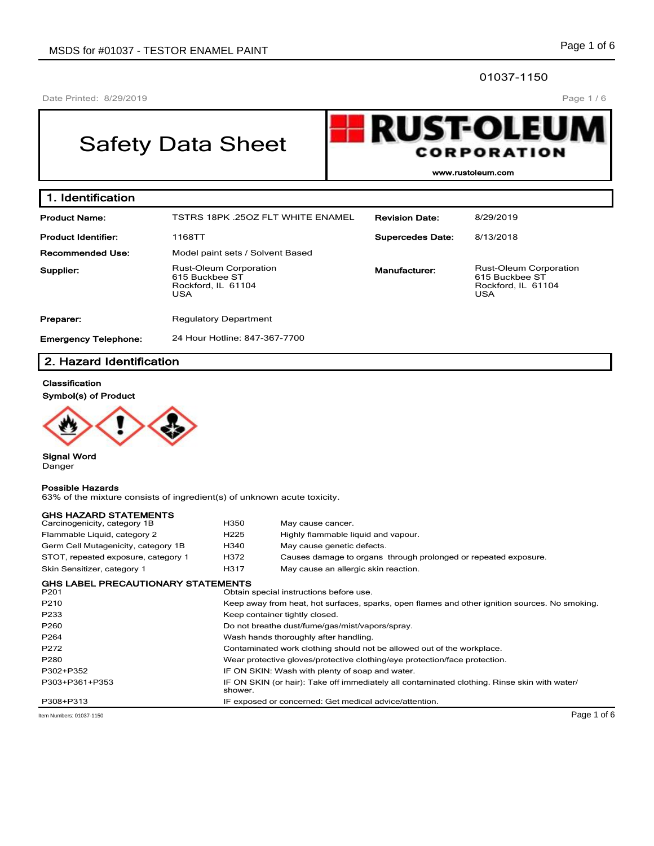## 01037-1150

Date Printed: 8/29/2019

## Page 1 / 6

# Safety Data Sheet



**www.rustoleum.com**

| 1. Identification           |                                                                              |                         |                                                                                     |  |  |
|-----------------------------|------------------------------------------------------------------------------|-------------------------|-------------------------------------------------------------------------------------|--|--|
| <b>Product Name:</b>        | <b>TSTRS 18PK .25OZ FLT WHITE ENAMEL</b>                                     | <b>Revision Date:</b>   | 8/29/2019                                                                           |  |  |
| <b>Product Identifier:</b>  | 1168TT                                                                       | <b>Supercedes Date:</b> | 8/13/2018                                                                           |  |  |
| <b>Recommended Use:</b>     | Model paint sets / Solvent Based                                             |                         |                                                                                     |  |  |
| Supplier:                   | <b>Rust-Oleum Corporation</b><br>615 Buckbee ST<br>Rockford, IL 61104<br>USA | Manufacturer:           | <b>Rust-Oleum Corporation</b><br>615 Buckbee ST<br>Rockford, IL 61104<br><b>USA</b> |  |  |
| Preparer:                   | <b>Regulatory Department</b>                                                 |                         |                                                                                     |  |  |
| <b>Emergency Telephone:</b> | 24 Hour Hotline: 847-367-7700                                                |                         |                                                                                     |  |  |

## **2. Hazard Identification**

#### **Classification**

**Symbol(s) of Product**



**Signal Word** Danger

#### **Possible Hazards**

63% of the mixture consists of ingredient(s) of unknown acute toxicity.

| <b>GHS HAZARD STATEMENTS</b>                                  |                                                                                                         |                                                                                                |  |  |
|---------------------------------------------------------------|---------------------------------------------------------------------------------------------------------|------------------------------------------------------------------------------------------------|--|--|
| Carcinogenicity, category 1B                                  | H350                                                                                                    | May cause cancer.                                                                              |  |  |
| Flammable Liquid, category 2                                  | H <sub>225</sub>                                                                                        | Highly flammable liquid and vapour.                                                            |  |  |
| Germ Cell Mutagenicity, category 1B                           | H340                                                                                                    | May cause genetic defects.                                                                     |  |  |
| STOT, repeated exposure, category 1                           | H372                                                                                                    | Causes damage to organs through prolonged or repeated exposure.                                |  |  |
| Skin Sensitizer, category 1                                   | H317                                                                                                    | May cause an allergic skin reaction.                                                           |  |  |
| <b>GHS LABEL PRECAUTIONARY STATEMENTS</b><br>P <sub>201</sub> |                                                                                                         | Obtain special instructions before use.                                                        |  |  |
| P210                                                          |                                                                                                         | Keep away from heat, hot surfaces, sparks, open flames and other ignition sources. No smoking. |  |  |
| P233                                                          | Keep container tightly closed.                                                                          |                                                                                                |  |  |
| P260                                                          | Do not breathe dust/fume/gas/mist/vapors/spray.                                                         |                                                                                                |  |  |
| P264                                                          | Wash hands thoroughly after handling.                                                                   |                                                                                                |  |  |
| P272                                                          | Contaminated work clothing should not be allowed out of the workplace.                                  |                                                                                                |  |  |
| P280                                                          |                                                                                                         | Wear protective gloves/protective clothing/eye protection/face protection.                     |  |  |
| P302+P352                                                     | IF ON SKIN: Wash with plenty of soap and water.                                                         |                                                                                                |  |  |
| P303+P361+P353                                                | IF ON SKIN (or hair): Take off immediately all contaminated clothing. Rinse skin with water/<br>shower. |                                                                                                |  |  |
| P308+P313                                                     |                                                                                                         | IF exposed or concerned: Get medical advice/attention.                                         |  |  |
| Item Numbers: 01037-1150                                      |                                                                                                         | Page 1 of 6                                                                                    |  |  |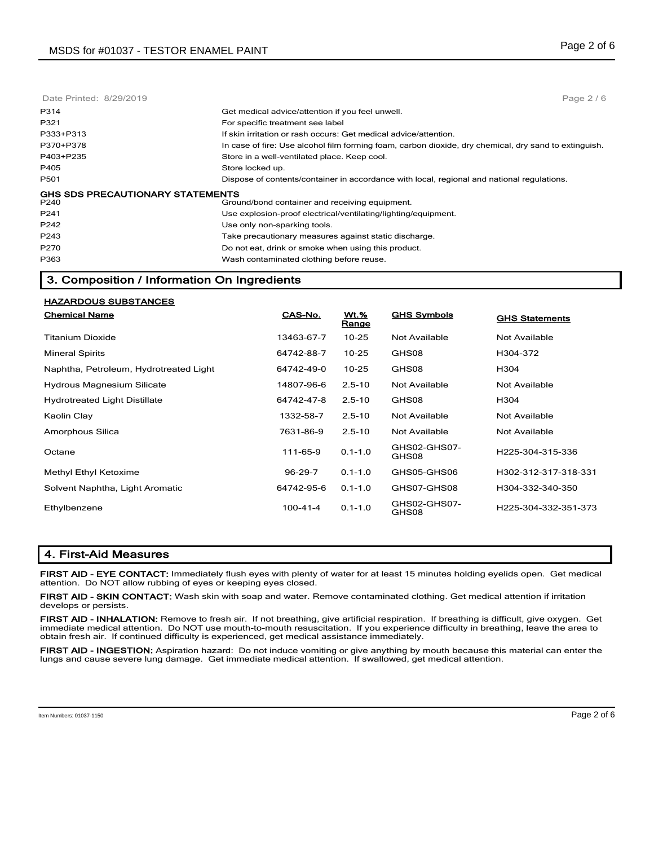| Page $2/6$                                                                                            |
|-------------------------------------------------------------------------------------------------------|
| Get medical advice/attention if you feel unwell.                                                      |
| For specific treatment see label                                                                      |
| If skin irritation or rash occurs: Get medical advice/attention.                                      |
| In case of fire: Use alcohol film forming foam, carbon dioxide, dry chemical, dry sand to extinguish. |
| Store in a well-ventilated place. Keep cool.                                                          |
| Store locked up.                                                                                      |
| Dispose of contents/container in accordance with local, regional and national regulations.            |
| <b>GHS SDS PRECAUTIONARY STATEMENTS</b><br>Ground/bond container and receiving equipment.             |
| Use explosion-proof electrical/ventilating/lighting/equipment.                                        |
| Use only non-sparking tools.                                                                          |
| Take precautionary measures against static discharge.                                                 |
| Do not eat, drink or smoke when using this product.                                                   |
| Wash contaminated clothing before reuse.                                                              |
|                                                                                                       |

## **3. Composition / Information On Ingredients**

| <b>HAZARDOUS SUBSTANCES</b>            |            |                      |                       |                       |
|----------------------------------------|------------|----------------------|-----------------------|-----------------------|
| <b>Chemical Name</b>                   | CAS-No.    | <b>Wt.%</b><br>Range | <b>GHS Symbols</b>    | <b>GHS Statements</b> |
| Titanium Dioxide                       | 13463-67-7 | $10 - 25$            | Not Available         | <b>Not Available</b>  |
| <b>Mineral Spirits</b>                 | 64742-88-7 | $10 - 25$            | GHS08                 | H304-372              |
| Naphtha, Petroleum, Hydrotreated Light | 64742-49-0 | $10 - 25$            | GHS08                 | H304                  |
| <b>Hydrous Magnesium Silicate</b>      | 14807-96-6 | $2.5 - 10$           | Not Available         | Not Available         |
| <b>Hydrotreated Light Distillate</b>   | 64742-47-8 | $2.5 - 10$           | GHS08                 | H304                  |
| Kaolin Clay                            | 1332-58-7  | $2.5 - 10$           | Not Available         | Not Available         |
| Amorphous Silica                       | 7631-86-9  | $2.5 - 10$           | Not Available         | Not Available         |
| Octane                                 | 111-65-9   | $0.1 - 1.0$          | GHS02-GHS07-<br>GHS08 | H225-304-315-336      |
| Methyl Ethyl Ketoxime                  | 96-29-7    | $0.1 - 1.0$          | GHS05-GHS06           | H302-312-317-318-331  |
| Solvent Naphtha, Light Aromatic        | 64742-95-6 | $0.1 - 1.0$          | GHS07-GHS08           | H304-332-340-350      |
| Ethylbenzene                           | 100-41-4   | $0.1 - 1.0$          | GHS02-GHS07-<br>GHS08 | H225-304-332-351-373  |

## **4. First-Aid Measures**

**FIRST AID - EYE CONTACT:** Immediately flush eyes with plenty of water for at least 15 minutes holding eyelids open. Get medical attention. Do NOT allow rubbing of eyes or keeping eyes closed.

**FIRST AID - SKIN CONTACT:** Wash skin with soap and water. Remove contaminated clothing. Get medical attention if irritation develops or persists.

**FIRST AID - INHALATION:** Remove to fresh air. If not breathing, give artificial respiration. If breathing is difficult, give oxygen. Get immediate medical attention. Do NOT use mouth-to-mouth resuscitation. If you experience difficulty in breathing, leave the area to obtain fresh air. If continued difficulty is experienced, get medical assistance immediately.

**FIRST AID - INGESTION:** Aspiration hazard: Do not induce vomiting or give anything by mouth because this material can enter the lungs and cause severe lung damage. Get immediate medical attention. If swallowed, get medical attention.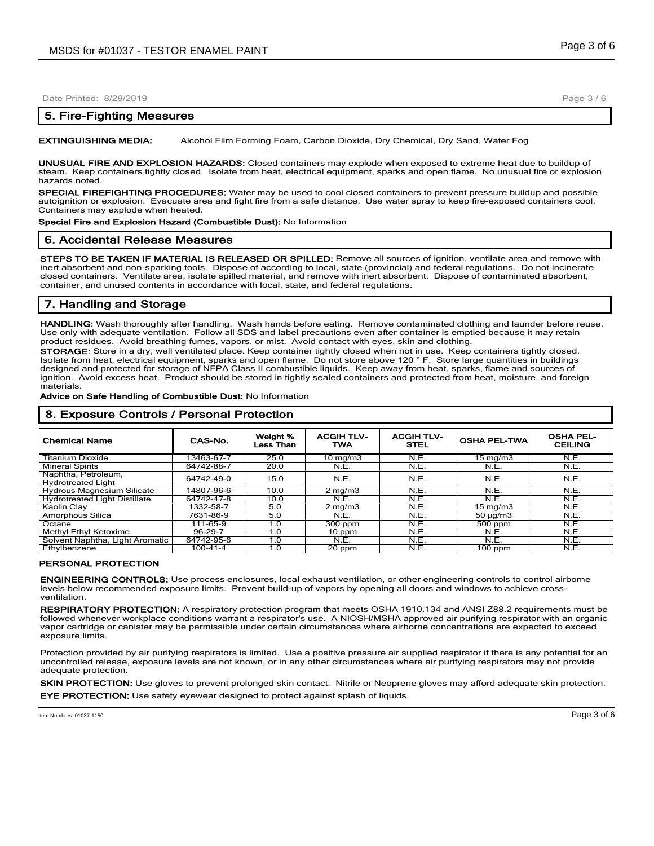## **5. Fire-Fighting Measures**

**EXTINGUISHING MEDIA:** Alcohol Film Forming Foam, Carbon Dioxide, Dry Chemical, Dry Sand, Water Fog

**UNUSUAL FIRE AND EXPLOSION HAZARDS:** Closed containers may explode when exposed to extreme heat due to buildup of steam. Keep containers tightly closed. Isolate from heat, electrical equipment, sparks and open flame. No unusual fire or explosion hazards noted.

**SPECIAL FIREFIGHTING PROCEDURES:** Water may be used to cool closed containers to prevent pressure buildup and possible autoignition or explosion. Evacuate area and fight fire from a safe distance. Use water spray to keep fire-exposed containers cool. Containers may explode when heated.

**Special Fire and Explosion Hazard (Combustible Dust):** No Information

#### **6. Accidental Release Measures**

**STEPS TO BE TAKEN IF MATERIAL IS RELEASED OR SPILLED:** Remove all sources of ignition, ventilate area and remove with inert absorbent and non-sparking tools. Dispose of according to local, state (provincial) and federal regulations. Do not incinerate closed containers. Ventilate area, isolate spilled material, and remove with inert absorbent. Dispose of contaminated absorbent, container, and unused contents in accordance with local, state, and federal regulations.

## **7. Handling and Storage**

**HANDLING:** Wash thoroughly after handling. Wash hands before eating. Remove contaminated clothing and launder before reuse. Use only with adequate ventilation. Follow all SDS and label precautions even after container is emptied because it may retain product residues. Avoid breathing fumes, vapors, or mist. Avoid contact with eyes, skin and clothing.

**STORAGE:** Store in a dry, well ventilated place. Keep container tightly closed when not in use. Keep containers tightly closed. Isolate from heat, electrical equipment, sparks and open flame. Do not store above 120 ° F. Store large quantities in buildings designed and protected for storage of NFPA Class II combustible liquids. Keep away from heat, sparks, flame and sources of ignition. Avoid excess heat. Product should be stored in tightly sealed containers and protected from heat, moisture, and foreign materials.

#### **Advice on Safe Handling of Combustible Dust:** No Information

| <b>Chemical Name</b>                             | CAS-No.        | Weight %<br>Less Than | <b>ACGIH TLV-</b><br><b>TWA</b> | <b>ACGIH TLV-</b><br>STEL | <b>OSHA PEL-TWA</b> | <b>OSHA PEL-</b><br><b>CEILING</b> |
|--------------------------------------------------|----------------|-----------------------|---------------------------------|---------------------------|---------------------|------------------------------------|
| Titanium Dioxide                                 | 13463-67-7     | 25.0                  | $10 \text{ mg/m}$               | N.E.                      | $15 \text{ mg/m}$   | N.E.                               |
| <b>Mineral Spirits</b>                           | 64742-88-7     | 20.0                  | N.E.                            | N.E.                      | N.E.                | N.E.                               |
| Naphtha, Petroleum,<br><b>Hydrotreated Light</b> | 64742-49-0     | 15.0                  | N.E.                            | N.E.                      | N.E.                | N.E.                               |
| <b>Hydrous Magnesium Silicate</b>                | 14807-96-6     | 10.0                  | $2 \text{ mg/m}$                | N.E.                      | N.E.                | N.E.                               |
| <b>Hydrotreated Light Distillate</b>             | 64742-47-8     | 10.0                  | N.E.                            | N.E.                      | N.E.                | N.E.                               |
| Kaolin Clav                                      | 1332-58-7      | 5.0                   | $2 \text{ mg/m}$                | N.E.                      | $15 \text{ mg/m}$   | N.E.                               |
| Amorphous Silica                                 | 7631-86-9      | 5.0                   | N.E.                            | N.E.                      | $50 \mu q/m3$       | N.E.                               |
| Octane                                           | 111-65-9       | 1.0                   | $300$ ppm                       | N.E.                      | 500 ppm             | N.E.                               |
| Methyl Ethyl Ketoxime                            | 96-29-7        | 1.0                   | 10 ppm                          | N.E.                      | N.E.                | N.E.                               |
| Solvent Naphtha, Light Aromatic                  | 64742-95-6     | 1.0                   | N.E.                            | N.E.                      | N.E.                | N.E.                               |
| Ethylbenzene                                     | $100 - 41 - 4$ | 1.0                   | 20 ppm                          | N.E.                      | $100$ ppm           | N.E.                               |

## **8. Exposure Controls / Personal Protection**

#### **PERSONAL PROTECTION**

**ENGINEERING CONTROLS:** Use process enclosures, local exhaust ventilation, or other engineering controls to control airborne levels below recommended exposure limits. Prevent build-up of vapors by opening all doors and windows to achieve crossventilation.

**RESPIRATORY PROTECTION:** A respiratory protection program that meets OSHA 1910.134 and ANSI Z88.2 requirements must be followed whenever workplace conditions warrant a respirator's use. A NIOSH/MSHA approved air purifying respirator with an organic vapor cartridge or canister may be permissible under certain circumstances where airborne concentrations are expected to exceed exposure limits.

Protection provided by air purifying respirators is limited. Use a positive pressure air supplied respirator if there is any potential for an uncontrolled release, exposure levels are not known, or in any other circumstances where air purifying respirators may not provide adequate protection.

**SKIN PROTECTION:** Use gloves to prevent prolonged skin contact. Nitrile or Neoprene gloves may afford adequate skin protection. **EYE PROTECTION:** Use safety eyewear designed to protect against splash of liquids.

Page 3 / 6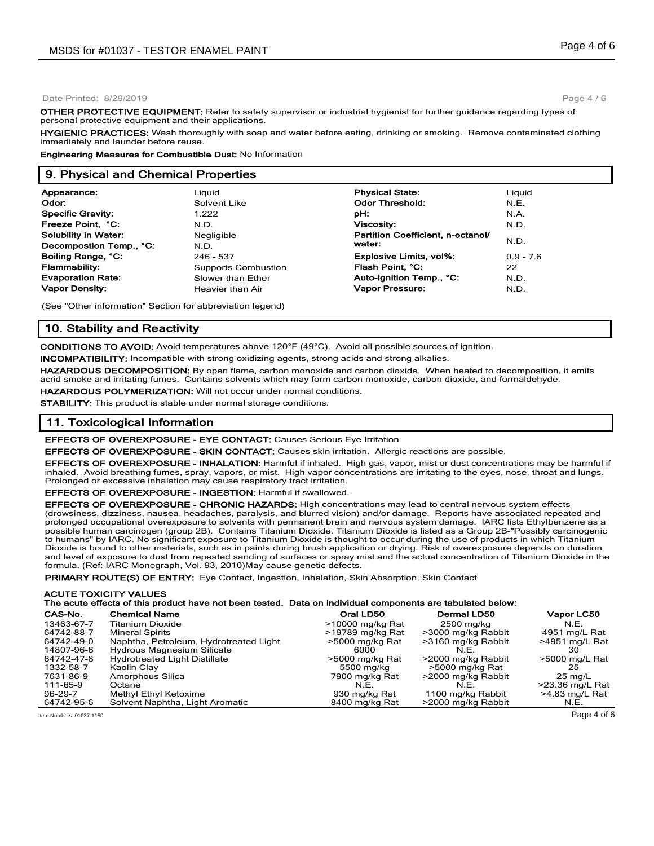Page 4 / 6

**OTHER PROTECTIVE EQUIPMENT:** Refer to safety supervisor or industrial hygienist for further guidance regarding types of personal protective equipment and their applications.

**HYGIENIC PRACTICES:** Wash thoroughly with soap and water before eating, drinking or smoking. Remove contaminated clothing immediately and launder before reuse.

**Engineering Measures for Combustible Dust:** No Information

#### **9. Physical and Chemical Properties**

| Appearance:                 | Liauid                     | <b>Physical State:</b>            | Liguid      |
|-----------------------------|----------------------------|-----------------------------------|-------------|
| Odor:                       | Solvent Like               | <b>Odor Threshold:</b>            | N.E.        |
| <b>Specific Gravity:</b>    | 1.222                      | pH:                               | N.A.        |
| Freeze Point, °C:           | N.D.                       | <b>Viscosity:</b>                 | N.D.        |
| <b>Solubility in Water:</b> | Negligible                 | Partition Coefficient, n-octanol/ |             |
| Decompostion Temp., °C:     | N.D.                       | water:                            | N.D.        |
| Boiling Range, °C:          | 246 - 537                  | <b>Explosive Limits, vol%:</b>    | $0.9 - 7.6$ |
| <b>Flammability:</b>        | <b>Supports Combustion</b> | Flash Point, °C:                  | 22          |
| <b>Evaporation Rate:</b>    | Slower than Ether          | Auto-ignition Temp., °C:          | N.D.        |
| <b>Vapor Density:</b>       | Heavier than Air           | Vapor Pressure:                   | N.D.        |
|                             |                            |                                   |             |

(See "Other information" Section for abbreviation legend)

## **10. Stability and Reactivity**

**CONDITIONS TO AVOID:** Avoid temperatures above 120°F (49°C). Avoid all possible sources of ignition.

**INCOMPATIBILITY:** Incompatible with strong oxidizing agents, strong acids and strong alkalies.

**HAZARDOUS DECOMPOSITION:** By open flame, carbon monoxide and carbon dioxide. When heated to decomposition, it emits acrid smoke and irritating fumes. Contains solvents which may form carbon monoxide, carbon dioxide, and formaldehyde.

**HAZARDOUS POLYMERIZATION:** Will not occur under normal conditions.

**STABILITY:** This product is stable under normal storage conditions.

#### **11. Toxicological Information**

#### **EFFECTS OF OVEREXPOSURE - EYE CONTACT:** Causes Serious Eye Irritation

**EFFECTS OF OVEREXPOSURE - SKIN CONTACT:** Causes skin irritation. Allergic reactions are possible.

**EFFECTS OF OVEREXPOSURE - INHALATION:** Harmful if inhaled. High gas, vapor, mist or dust concentrations may be harmful if inhaled. Avoid breathing fumes, spray, vapors, or mist. High vapor concentrations are irritating to the eyes, nose, throat and lungs. Prolonged or excessive inhalation may cause respiratory tract irritation.

**EFFECTS OF OVEREXPOSURE - INGESTION:** Harmful if swallowed.

**EFFECTS OF OVEREXPOSURE - CHRONIC HAZARDS:** High concentrations may lead to central nervous system effects (drowsiness, dizziness, nausea, headaches, paralysis, and blurred vision) and/or damage. Reports have associated repeated and prolonged occupational overexposure to solvents with permanent brain and nervous system damage. IARC lists Ethylbenzene as a possible human carcinogen (group 2B). Contains Titanium Dioxide. Titanium Dioxide is listed as a Group 2B-"Possibly carcinogenic to humans" by IARC. No significant exposure to Titanium Dioxide is thought to occur during the use of products in which Titanium Dioxide is bound to other materials, such as in paints during brush application or drying. Risk of overexposure depends on duration and level of exposure to dust from repeated sanding of surfaces or spray mist and the actual concentration of Titanium Dioxide in the formula. (Ref: IARC Monograph, Vol. 93, 2010)May cause genetic defects.

**PRIMARY ROUTE(S) OF ENTRY:** Eye Contact, Ingestion, Inhalation, Skin Absorption, Skin Contact

#### **ACUTE TOXICITY VALUES The acute effects of this product have not been tested. Data on individual components are tabulated below:**

| CAS-No.    | <b>Chemical Name</b>                   | Oral LD50        | <b>Dermal LD50</b> | Vapor LC50        |
|------------|----------------------------------------|------------------|--------------------|-------------------|
| 13463-67-7 | <b>Titanium Dioxide</b>                | >10000 mg/kg Rat | 2500 mg/kg         | N.E.              |
| 64742-88-7 | <b>Mineral Spirits</b>                 | >19789 mg/kg Rat | >3000 mg/kg Rabbit | 4951 mg/L Rat     |
| 64742-49-0 | Naphtha, Petroleum, Hydrotreated Light | >5000 mg/kg Rat  | >3160 mg/kg Rabbit | >4951 mg/L Rat    |
| 14807-96-6 | <b>Hydrous Magnesium Silicate</b>      | 6000             | NF                 | 30                |
| 64742-47-8 | <b>Hydrotreated Light Distillate</b>   | >5000 mg/kg Rat  | >2000 mg/kg Rabbit | >5000 mg/L Rat    |
| 1332-58-7  | Kaolin Clay                            | 5500 mg/kg       | >5000 mg/kg Rat    | 25                |
| 7631-86-9  | Amorphous Silica                       | 7900 mg/kg Rat   | >2000 mg/kg Rabbit | $25 \text{ ma/L}$ |
| 111-65-9   | Octane                                 | N.E.             | N.E.               | >23.36 mg/L Rat   |
| 96-29-7    | Methyl Ethyl Ketoxime                  | 930 mg/kg Rat    | 1100 mg/kg Rabbit  | >4.83 mg/L Rat    |
| 64742-95-6 | Solvent Naphtha, Light Aromatic        | 8400 mg/kg Rat   | >2000 mg/kg Rabbit | N.E.              |

Item Numbers: 01037-1150 Page 4 of 6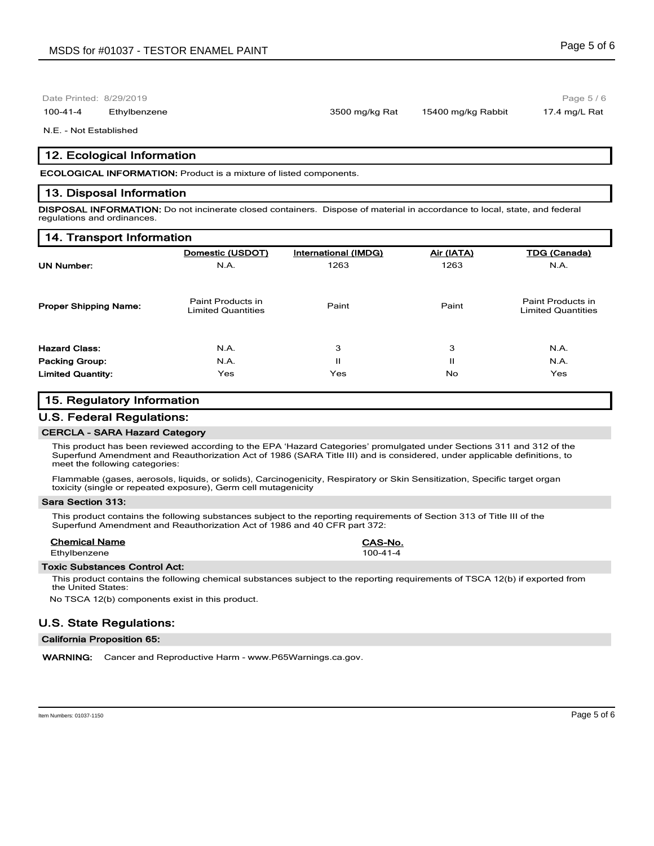100-41-4 Ethylbenzene 3500 mg/kg Rat 15400 mg/kg Rabbit 17.4 mg/L Rat

Page 5 / 6

#### N.E. - Not Established

## **12. Ecological Information**

**ECOLOGICAL INFORMATION:** Product is a mixture of listed components.

## **13. Disposal Information**

**DISPOSAL INFORMATION:** Do not incinerate closed containers. Dispose of material in accordance to local, state, and federal regulations and ordinances.

#### **14. Transport Information**

|                              | Domestic (USDOT)                               | International (IMDG) | Air (IATA) | <b>TDG (Canada)</b>                            |
|------------------------------|------------------------------------------------|----------------------|------------|------------------------------------------------|
| <b>UN Number:</b>            | N.A.                                           | 1263                 | 1263       | N.A.                                           |
| <b>Proper Shipping Name:</b> | Paint Products in<br><b>Limited Quantities</b> | Paint                | Paint      | Paint Products in<br><b>Limited Quantities</b> |
| <b>Hazard Class:</b>         | N.A.                                           | 3                    | 3          | N.A.                                           |
| <b>Packing Group:</b>        | N.A.                                           | п                    | п          | N.A.                                           |
| <b>Limited Quantity:</b>     | Yes                                            | Yes                  | No.        | Yes                                            |

## **15. Regulatory Information**

## **U.S. Federal Regulations:**

#### **CERCLA - SARA Hazard Category**

This product has been reviewed according to the EPA 'Hazard Categories' promulgated under Sections 311 and 312 of the Superfund Amendment and Reauthorization Act of 1986 (SARA Title III) and is considered, under applicable definitions, to meet the following categories:

Flammable (gases, aerosols, liquids, or solids), Carcinogenicity, Respiratory or Skin Sensitization, Specific target organ toxicity (single or repeated exposure), Germ cell mutagenicity

#### **Sara Section 313:**

This product contains the following substances subject to the reporting requirements of Section 313 of Title III of the Superfund Amendment and Reauthorization Act of 1986 and 40 CFR part 372:

#### **Chemical Name CAS-No.**

Ethylbenzene 100-41-4

#### **Toxic Substances Control Act:**

This product contains the following chemical substances subject to the reporting requirements of TSCA 12(b) if exported from the United States:

No TSCA 12(b) components exist in this product.

## **U.S. State Regulations:**

### **California Proposition 65:**

**WARNING:** Cancer and Reproductive Harm - www.P65Warnings.ca.gov.